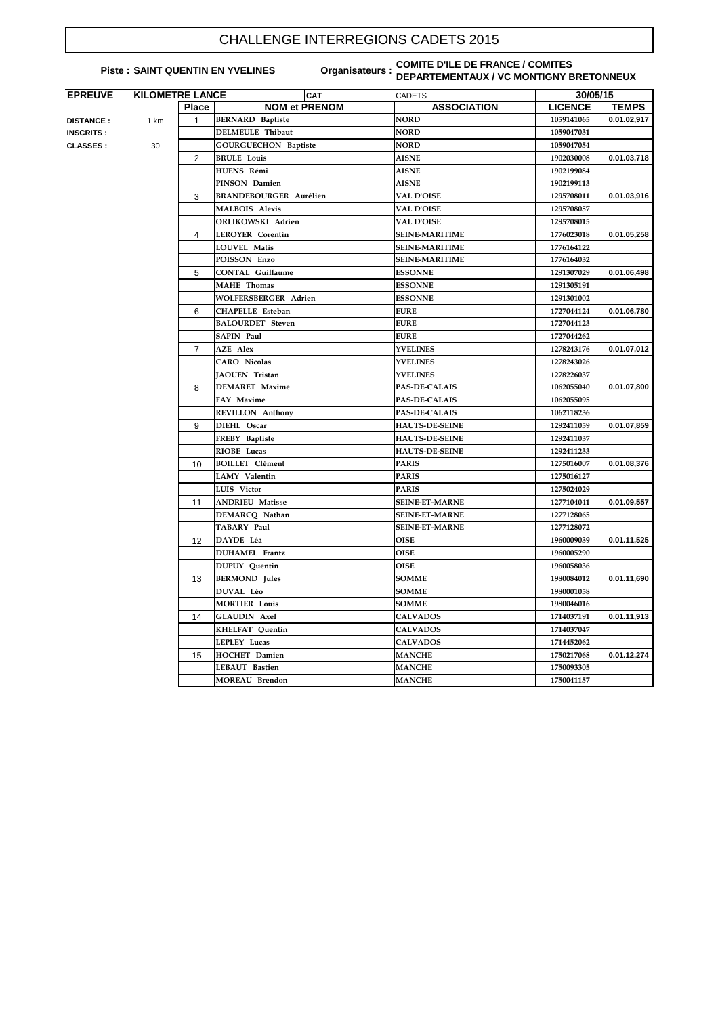## CHALLENGE INTERREGIONS CADETS 2015

## **Piste : SAINT QUENTIN EN YVELINES**

## **COMITE D'ILE DE FRANCE / COMITES DEPARTEMENTAUX / VC MONTIGNY BRETONNEUX**

| <b>NOM et PRENOM</b><br><b>ASSOCIATION</b><br><b>LICENCE</b><br><b>Place</b><br><b>BERNARD</b> Baptiste<br><b>NORD</b><br>1059141065<br>$\mathbf 1$<br><b>DISTANCE:</b><br>1 km<br><b>DELMEULE Thibaut</b><br><b>NORD</b><br>1059047031<br><b>INSCRITS:</b><br><b>NORD</b><br><b>GOURGUECHON Baptiste</b><br>1059047054<br>30<br><b>CLASSES:</b><br><b>AISNE</b><br>2<br><b>BRULE Louis</b><br>1902030008<br>HUENS Rémi<br><b>AISNE</b><br>1902199084<br>PINSON Damien<br><b>AISNE</b><br>1902199113<br><b>VAL D'OISE</b><br>3<br><b>BRANDEBOURGER Aurélien</b><br>1295708011<br><b>MALBOIS Alexis</b><br><b>VAL D'OISE</b><br>1295708057<br><b>ORLIKOWSKI Adrien</b><br><b>VAL D'OISE</b><br>1295708015<br><b>LEROYER Corentin</b><br><b>SEINE-MARITIME</b><br>1776023018<br>4<br><b>LOUVEL Matis</b><br><b>SEINE-MARITIME</b><br>1776164122<br>POISSON Enzo<br><b>SEINE-MARITIME</b><br>1776164032<br>5<br><b>CONTAL Guillaume</b><br><b>ESSONNE</b><br>1291307029<br><b>MAHE</b> Thomas<br><b>ESSONNE</b><br>1291305191<br><b>WOLFERSBERGER Adrien</b><br><b>ESSONNE</b><br>1291301002<br><b>EURE</b><br>6<br><b>CHAPELLE Esteban</b><br>1727044124<br><b>EURE</b><br><b>BALOURDET</b> Steven<br>1727044123<br><b>SAPIN Paul</b><br><b>EURE</b><br>1727044262<br><b>AZE Alex</b><br><b>YVELINES</b><br>$\overline{7}$<br>1278243176<br><b>CARO</b> Nicolas<br><b>YVELINES</b><br>1278243026<br><b>YVELINES</b><br><b>JAOUEN</b> Tristan<br>1278226037<br><b>DEMARET</b> Maxime<br><b>PAS-DE-CALAIS</b><br>8<br>1062055040<br>FAY Maxime<br><b>PAS-DE-CALAIS</b><br>1062055095<br><b>PAS-DE-CALAIS</b><br><b>REVILLON Anthony</b><br>1062118236<br>DIEHL Oscar<br><b>HAUTS-DE-SEINE</b><br>1292411059<br>9<br><b>HAUTS-DE-SEINE</b><br>FREBY Baptiste<br>1292411037<br>RIOBE Lucas<br><b>HAUTS-DE-SEINE</b><br>1292411233<br><b>BOILLET</b> Clément<br><b>PARIS</b><br>1275016007<br>10<br><b>PARIS</b><br>LAMY Valentin<br>1275016127<br><b>PARIS</b><br>LUIS Victor<br>1275024029<br><b>ANDRIEU Matisse</b><br><b>SEINE-ET-MARNE</b><br>11<br>1277104041<br>DEMARCQ Nathan<br><b>SEINE-ET-MARNE</b><br>1277128065<br>TABARY Paul<br><b>SEINE-ET-MARNE</b><br>1277128072<br>DAYDE Léa<br><b>OISE</b><br>1960009039<br>12<br><b>DUHAMEL</b> Frantz<br><b>OISE</b><br>1960005290<br><b>OISE</b><br><b>DUPUY</b> Ouentin<br>1960058036<br><b>BERMOND</b> Jules<br><b>SOMME</b><br>1980084012<br>13<br>DUVAL Léo<br><b>SOMME</b><br>1980001058<br><b>MORTIER Louis</b><br><b>SOMME</b><br>1980046016<br><b>GLAUDIN</b> Axel<br>14<br><b>CALVADOS</b><br>1714037191<br><b>KHELFAT Ouentin</b><br><b>CALVADOS</b><br>1714037047<br>LEPLEY Lucas<br><b>CALVADOS</b><br>1714452062<br><b>HOCHET</b> Damien<br><b>MANCHE</b><br>1750217068<br>15<br><b>MANCHE</b><br><b>LEBAUT Bastien</b><br>1750093305<br><b>MANCHE</b><br><b>MOREAU</b> Brendon<br>1750041157 | <b>EPREUVE</b> | <b>KILOMETRE LANCE</b> | <b>CAT</b> | <b>CADETS</b> | 30/05/15 |              |  |
|------------------------------------------------------------------------------------------------------------------------------------------------------------------------------------------------------------------------------------------------------------------------------------------------------------------------------------------------------------------------------------------------------------------------------------------------------------------------------------------------------------------------------------------------------------------------------------------------------------------------------------------------------------------------------------------------------------------------------------------------------------------------------------------------------------------------------------------------------------------------------------------------------------------------------------------------------------------------------------------------------------------------------------------------------------------------------------------------------------------------------------------------------------------------------------------------------------------------------------------------------------------------------------------------------------------------------------------------------------------------------------------------------------------------------------------------------------------------------------------------------------------------------------------------------------------------------------------------------------------------------------------------------------------------------------------------------------------------------------------------------------------------------------------------------------------------------------------------------------------------------------------------------------------------------------------------------------------------------------------------------------------------------------------------------------------------------------------------------------------------------------------------------------------------------------------------------------------------------------------------------------------------------------------------------------------------------------------------------------------------------------------------------------------------------------------------------------------------------------------------------------------------------------------------------------------------------------------------------------------------------------------------------------------------------------------------------------------------------------------------------------------------------------------------------------------------------------------------------------|----------------|------------------------|------------|---------------|----------|--------------|--|
|                                                                                                                                                                                                                                                                                                                                                                                                                                                                                                                                                                                                                                                                                                                                                                                                                                                                                                                                                                                                                                                                                                                                                                                                                                                                                                                                                                                                                                                                                                                                                                                                                                                                                                                                                                                                                                                                                                                                                                                                                                                                                                                                                                                                                                                                                                                                                                                                                                                                                                                                                                                                                                                                                                                                                                                                                                                            |                |                        |            |               |          | <b>TEMPS</b> |  |
|                                                                                                                                                                                                                                                                                                                                                                                                                                                                                                                                                                                                                                                                                                                                                                                                                                                                                                                                                                                                                                                                                                                                                                                                                                                                                                                                                                                                                                                                                                                                                                                                                                                                                                                                                                                                                                                                                                                                                                                                                                                                                                                                                                                                                                                                                                                                                                                                                                                                                                                                                                                                                                                                                                                                                                                                                                                            |                |                        |            |               |          | 0.01.02,917  |  |
|                                                                                                                                                                                                                                                                                                                                                                                                                                                                                                                                                                                                                                                                                                                                                                                                                                                                                                                                                                                                                                                                                                                                                                                                                                                                                                                                                                                                                                                                                                                                                                                                                                                                                                                                                                                                                                                                                                                                                                                                                                                                                                                                                                                                                                                                                                                                                                                                                                                                                                                                                                                                                                                                                                                                                                                                                                                            |                |                        |            |               |          |              |  |
|                                                                                                                                                                                                                                                                                                                                                                                                                                                                                                                                                                                                                                                                                                                                                                                                                                                                                                                                                                                                                                                                                                                                                                                                                                                                                                                                                                                                                                                                                                                                                                                                                                                                                                                                                                                                                                                                                                                                                                                                                                                                                                                                                                                                                                                                                                                                                                                                                                                                                                                                                                                                                                                                                                                                                                                                                                                            |                |                        |            |               |          |              |  |
|                                                                                                                                                                                                                                                                                                                                                                                                                                                                                                                                                                                                                                                                                                                                                                                                                                                                                                                                                                                                                                                                                                                                                                                                                                                                                                                                                                                                                                                                                                                                                                                                                                                                                                                                                                                                                                                                                                                                                                                                                                                                                                                                                                                                                                                                                                                                                                                                                                                                                                                                                                                                                                                                                                                                                                                                                                                            |                |                        |            |               |          | 0.01.03,718  |  |
|                                                                                                                                                                                                                                                                                                                                                                                                                                                                                                                                                                                                                                                                                                                                                                                                                                                                                                                                                                                                                                                                                                                                                                                                                                                                                                                                                                                                                                                                                                                                                                                                                                                                                                                                                                                                                                                                                                                                                                                                                                                                                                                                                                                                                                                                                                                                                                                                                                                                                                                                                                                                                                                                                                                                                                                                                                                            |                |                        |            |               |          |              |  |
|                                                                                                                                                                                                                                                                                                                                                                                                                                                                                                                                                                                                                                                                                                                                                                                                                                                                                                                                                                                                                                                                                                                                                                                                                                                                                                                                                                                                                                                                                                                                                                                                                                                                                                                                                                                                                                                                                                                                                                                                                                                                                                                                                                                                                                                                                                                                                                                                                                                                                                                                                                                                                                                                                                                                                                                                                                                            |                |                        |            |               |          |              |  |
|                                                                                                                                                                                                                                                                                                                                                                                                                                                                                                                                                                                                                                                                                                                                                                                                                                                                                                                                                                                                                                                                                                                                                                                                                                                                                                                                                                                                                                                                                                                                                                                                                                                                                                                                                                                                                                                                                                                                                                                                                                                                                                                                                                                                                                                                                                                                                                                                                                                                                                                                                                                                                                                                                                                                                                                                                                                            |                |                        |            |               |          | 0.01.03,916  |  |
|                                                                                                                                                                                                                                                                                                                                                                                                                                                                                                                                                                                                                                                                                                                                                                                                                                                                                                                                                                                                                                                                                                                                                                                                                                                                                                                                                                                                                                                                                                                                                                                                                                                                                                                                                                                                                                                                                                                                                                                                                                                                                                                                                                                                                                                                                                                                                                                                                                                                                                                                                                                                                                                                                                                                                                                                                                                            |                |                        |            |               |          |              |  |
|                                                                                                                                                                                                                                                                                                                                                                                                                                                                                                                                                                                                                                                                                                                                                                                                                                                                                                                                                                                                                                                                                                                                                                                                                                                                                                                                                                                                                                                                                                                                                                                                                                                                                                                                                                                                                                                                                                                                                                                                                                                                                                                                                                                                                                                                                                                                                                                                                                                                                                                                                                                                                                                                                                                                                                                                                                                            |                |                        |            |               |          |              |  |
|                                                                                                                                                                                                                                                                                                                                                                                                                                                                                                                                                                                                                                                                                                                                                                                                                                                                                                                                                                                                                                                                                                                                                                                                                                                                                                                                                                                                                                                                                                                                                                                                                                                                                                                                                                                                                                                                                                                                                                                                                                                                                                                                                                                                                                                                                                                                                                                                                                                                                                                                                                                                                                                                                                                                                                                                                                                            |                |                        |            |               |          | 0.01.05,258  |  |
|                                                                                                                                                                                                                                                                                                                                                                                                                                                                                                                                                                                                                                                                                                                                                                                                                                                                                                                                                                                                                                                                                                                                                                                                                                                                                                                                                                                                                                                                                                                                                                                                                                                                                                                                                                                                                                                                                                                                                                                                                                                                                                                                                                                                                                                                                                                                                                                                                                                                                                                                                                                                                                                                                                                                                                                                                                                            |                |                        |            |               |          |              |  |
|                                                                                                                                                                                                                                                                                                                                                                                                                                                                                                                                                                                                                                                                                                                                                                                                                                                                                                                                                                                                                                                                                                                                                                                                                                                                                                                                                                                                                                                                                                                                                                                                                                                                                                                                                                                                                                                                                                                                                                                                                                                                                                                                                                                                                                                                                                                                                                                                                                                                                                                                                                                                                                                                                                                                                                                                                                                            |                |                        |            |               |          |              |  |
|                                                                                                                                                                                                                                                                                                                                                                                                                                                                                                                                                                                                                                                                                                                                                                                                                                                                                                                                                                                                                                                                                                                                                                                                                                                                                                                                                                                                                                                                                                                                                                                                                                                                                                                                                                                                                                                                                                                                                                                                                                                                                                                                                                                                                                                                                                                                                                                                                                                                                                                                                                                                                                                                                                                                                                                                                                                            |                |                        |            |               |          | 0.01.06,498  |  |
|                                                                                                                                                                                                                                                                                                                                                                                                                                                                                                                                                                                                                                                                                                                                                                                                                                                                                                                                                                                                                                                                                                                                                                                                                                                                                                                                                                                                                                                                                                                                                                                                                                                                                                                                                                                                                                                                                                                                                                                                                                                                                                                                                                                                                                                                                                                                                                                                                                                                                                                                                                                                                                                                                                                                                                                                                                                            |                |                        |            |               |          |              |  |
|                                                                                                                                                                                                                                                                                                                                                                                                                                                                                                                                                                                                                                                                                                                                                                                                                                                                                                                                                                                                                                                                                                                                                                                                                                                                                                                                                                                                                                                                                                                                                                                                                                                                                                                                                                                                                                                                                                                                                                                                                                                                                                                                                                                                                                                                                                                                                                                                                                                                                                                                                                                                                                                                                                                                                                                                                                                            |                |                        |            |               |          |              |  |
|                                                                                                                                                                                                                                                                                                                                                                                                                                                                                                                                                                                                                                                                                                                                                                                                                                                                                                                                                                                                                                                                                                                                                                                                                                                                                                                                                                                                                                                                                                                                                                                                                                                                                                                                                                                                                                                                                                                                                                                                                                                                                                                                                                                                                                                                                                                                                                                                                                                                                                                                                                                                                                                                                                                                                                                                                                                            |                |                        |            |               |          | 0.01.06,780  |  |
|                                                                                                                                                                                                                                                                                                                                                                                                                                                                                                                                                                                                                                                                                                                                                                                                                                                                                                                                                                                                                                                                                                                                                                                                                                                                                                                                                                                                                                                                                                                                                                                                                                                                                                                                                                                                                                                                                                                                                                                                                                                                                                                                                                                                                                                                                                                                                                                                                                                                                                                                                                                                                                                                                                                                                                                                                                                            |                |                        |            |               |          |              |  |
|                                                                                                                                                                                                                                                                                                                                                                                                                                                                                                                                                                                                                                                                                                                                                                                                                                                                                                                                                                                                                                                                                                                                                                                                                                                                                                                                                                                                                                                                                                                                                                                                                                                                                                                                                                                                                                                                                                                                                                                                                                                                                                                                                                                                                                                                                                                                                                                                                                                                                                                                                                                                                                                                                                                                                                                                                                                            |                |                        |            |               |          |              |  |
|                                                                                                                                                                                                                                                                                                                                                                                                                                                                                                                                                                                                                                                                                                                                                                                                                                                                                                                                                                                                                                                                                                                                                                                                                                                                                                                                                                                                                                                                                                                                                                                                                                                                                                                                                                                                                                                                                                                                                                                                                                                                                                                                                                                                                                                                                                                                                                                                                                                                                                                                                                                                                                                                                                                                                                                                                                                            |                |                        |            |               |          | 0.01.07,012  |  |
|                                                                                                                                                                                                                                                                                                                                                                                                                                                                                                                                                                                                                                                                                                                                                                                                                                                                                                                                                                                                                                                                                                                                                                                                                                                                                                                                                                                                                                                                                                                                                                                                                                                                                                                                                                                                                                                                                                                                                                                                                                                                                                                                                                                                                                                                                                                                                                                                                                                                                                                                                                                                                                                                                                                                                                                                                                                            |                |                        |            |               |          |              |  |
|                                                                                                                                                                                                                                                                                                                                                                                                                                                                                                                                                                                                                                                                                                                                                                                                                                                                                                                                                                                                                                                                                                                                                                                                                                                                                                                                                                                                                                                                                                                                                                                                                                                                                                                                                                                                                                                                                                                                                                                                                                                                                                                                                                                                                                                                                                                                                                                                                                                                                                                                                                                                                                                                                                                                                                                                                                                            |                |                        |            |               |          |              |  |
|                                                                                                                                                                                                                                                                                                                                                                                                                                                                                                                                                                                                                                                                                                                                                                                                                                                                                                                                                                                                                                                                                                                                                                                                                                                                                                                                                                                                                                                                                                                                                                                                                                                                                                                                                                                                                                                                                                                                                                                                                                                                                                                                                                                                                                                                                                                                                                                                                                                                                                                                                                                                                                                                                                                                                                                                                                                            |                |                        |            |               |          | 0.01.07,800  |  |
|                                                                                                                                                                                                                                                                                                                                                                                                                                                                                                                                                                                                                                                                                                                                                                                                                                                                                                                                                                                                                                                                                                                                                                                                                                                                                                                                                                                                                                                                                                                                                                                                                                                                                                                                                                                                                                                                                                                                                                                                                                                                                                                                                                                                                                                                                                                                                                                                                                                                                                                                                                                                                                                                                                                                                                                                                                                            |                |                        |            |               |          |              |  |
|                                                                                                                                                                                                                                                                                                                                                                                                                                                                                                                                                                                                                                                                                                                                                                                                                                                                                                                                                                                                                                                                                                                                                                                                                                                                                                                                                                                                                                                                                                                                                                                                                                                                                                                                                                                                                                                                                                                                                                                                                                                                                                                                                                                                                                                                                                                                                                                                                                                                                                                                                                                                                                                                                                                                                                                                                                                            |                |                        |            |               |          |              |  |
|                                                                                                                                                                                                                                                                                                                                                                                                                                                                                                                                                                                                                                                                                                                                                                                                                                                                                                                                                                                                                                                                                                                                                                                                                                                                                                                                                                                                                                                                                                                                                                                                                                                                                                                                                                                                                                                                                                                                                                                                                                                                                                                                                                                                                                                                                                                                                                                                                                                                                                                                                                                                                                                                                                                                                                                                                                                            |                |                        |            |               |          | 0.01.07,859  |  |
|                                                                                                                                                                                                                                                                                                                                                                                                                                                                                                                                                                                                                                                                                                                                                                                                                                                                                                                                                                                                                                                                                                                                                                                                                                                                                                                                                                                                                                                                                                                                                                                                                                                                                                                                                                                                                                                                                                                                                                                                                                                                                                                                                                                                                                                                                                                                                                                                                                                                                                                                                                                                                                                                                                                                                                                                                                                            |                |                        |            |               |          |              |  |
|                                                                                                                                                                                                                                                                                                                                                                                                                                                                                                                                                                                                                                                                                                                                                                                                                                                                                                                                                                                                                                                                                                                                                                                                                                                                                                                                                                                                                                                                                                                                                                                                                                                                                                                                                                                                                                                                                                                                                                                                                                                                                                                                                                                                                                                                                                                                                                                                                                                                                                                                                                                                                                                                                                                                                                                                                                                            |                |                        |            |               |          |              |  |
|                                                                                                                                                                                                                                                                                                                                                                                                                                                                                                                                                                                                                                                                                                                                                                                                                                                                                                                                                                                                                                                                                                                                                                                                                                                                                                                                                                                                                                                                                                                                                                                                                                                                                                                                                                                                                                                                                                                                                                                                                                                                                                                                                                                                                                                                                                                                                                                                                                                                                                                                                                                                                                                                                                                                                                                                                                                            |                |                        |            |               |          | 0.01.08,376  |  |
|                                                                                                                                                                                                                                                                                                                                                                                                                                                                                                                                                                                                                                                                                                                                                                                                                                                                                                                                                                                                                                                                                                                                                                                                                                                                                                                                                                                                                                                                                                                                                                                                                                                                                                                                                                                                                                                                                                                                                                                                                                                                                                                                                                                                                                                                                                                                                                                                                                                                                                                                                                                                                                                                                                                                                                                                                                                            |                |                        |            |               |          |              |  |
|                                                                                                                                                                                                                                                                                                                                                                                                                                                                                                                                                                                                                                                                                                                                                                                                                                                                                                                                                                                                                                                                                                                                                                                                                                                                                                                                                                                                                                                                                                                                                                                                                                                                                                                                                                                                                                                                                                                                                                                                                                                                                                                                                                                                                                                                                                                                                                                                                                                                                                                                                                                                                                                                                                                                                                                                                                                            |                |                        |            |               |          |              |  |
|                                                                                                                                                                                                                                                                                                                                                                                                                                                                                                                                                                                                                                                                                                                                                                                                                                                                                                                                                                                                                                                                                                                                                                                                                                                                                                                                                                                                                                                                                                                                                                                                                                                                                                                                                                                                                                                                                                                                                                                                                                                                                                                                                                                                                                                                                                                                                                                                                                                                                                                                                                                                                                                                                                                                                                                                                                                            |                |                        |            |               |          | 0.01.09,557  |  |
|                                                                                                                                                                                                                                                                                                                                                                                                                                                                                                                                                                                                                                                                                                                                                                                                                                                                                                                                                                                                                                                                                                                                                                                                                                                                                                                                                                                                                                                                                                                                                                                                                                                                                                                                                                                                                                                                                                                                                                                                                                                                                                                                                                                                                                                                                                                                                                                                                                                                                                                                                                                                                                                                                                                                                                                                                                                            |                |                        |            |               |          |              |  |
|                                                                                                                                                                                                                                                                                                                                                                                                                                                                                                                                                                                                                                                                                                                                                                                                                                                                                                                                                                                                                                                                                                                                                                                                                                                                                                                                                                                                                                                                                                                                                                                                                                                                                                                                                                                                                                                                                                                                                                                                                                                                                                                                                                                                                                                                                                                                                                                                                                                                                                                                                                                                                                                                                                                                                                                                                                                            |                |                        |            |               |          |              |  |
|                                                                                                                                                                                                                                                                                                                                                                                                                                                                                                                                                                                                                                                                                                                                                                                                                                                                                                                                                                                                                                                                                                                                                                                                                                                                                                                                                                                                                                                                                                                                                                                                                                                                                                                                                                                                                                                                                                                                                                                                                                                                                                                                                                                                                                                                                                                                                                                                                                                                                                                                                                                                                                                                                                                                                                                                                                                            |                |                        |            |               |          | 0.01.11,525  |  |
|                                                                                                                                                                                                                                                                                                                                                                                                                                                                                                                                                                                                                                                                                                                                                                                                                                                                                                                                                                                                                                                                                                                                                                                                                                                                                                                                                                                                                                                                                                                                                                                                                                                                                                                                                                                                                                                                                                                                                                                                                                                                                                                                                                                                                                                                                                                                                                                                                                                                                                                                                                                                                                                                                                                                                                                                                                                            |                |                        |            |               |          |              |  |
|                                                                                                                                                                                                                                                                                                                                                                                                                                                                                                                                                                                                                                                                                                                                                                                                                                                                                                                                                                                                                                                                                                                                                                                                                                                                                                                                                                                                                                                                                                                                                                                                                                                                                                                                                                                                                                                                                                                                                                                                                                                                                                                                                                                                                                                                                                                                                                                                                                                                                                                                                                                                                                                                                                                                                                                                                                                            |                |                        |            |               |          |              |  |
|                                                                                                                                                                                                                                                                                                                                                                                                                                                                                                                                                                                                                                                                                                                                                                                                                                                                                                                                                                                                                                                                                                                                                                                                                                                                                                                                                                                                                                                                                                                                                                                                                                                                                                                                                                                                                                                                                                                                                                                                                                                                                                                                                                                                                                                                                                                                                                                                                                                                                                                                                                                                                                                                                                                                                                                                                                                            |                |                        |            |               |          | 0.01.11,690  |  |
|                                                                                                                                                                                                                                                                                                                                                                                                                                                                                                                                                                                                                                                                                                                                                                                                                                                                                                                                                                                                                                                                                                                                                                                                                                                                                                                                                                                                                                                                                                                                                                                                                                                                                                                                                                                                                                                                                                                                                                                                                                                                                                                                                                                                                                                                                                                                                                                                                                                                                                                                                                                                                                                                                                                                                                                                                                                            |                |                        |            |               |          |              |  |
|                                                                                                                                                                                                                                                                                                                                                                                                                                                                                                                                                                                                                                                                                                                                                                                                                                                                                                                                                                                                                                                                                                                                                                                                                                                                                                                                                                                                                                                                                                                                                                                                                                                                                                                                                                                                                                                                                                                                                                                                                                                                                                                                                                                                                                                                                                                                                                                                                                                                                                                                                                                                                                                                                                                                                                                                                                                            |                |                        |            |               |          |              |  |
|                                                                                                                                                                                                                                                                                                                                                                                                                                                                                                                                                                                                                                                                                                                                                                                                                                                                                                                                                                                                                                                                                                                                                                                                                                                                                                                                                                                                                                                                                                                                                                                                                                                                                                                                                                                                                                                                                                                                                                                                                                                                                                                                                                                                                                                                                                                                                                                                                                                                                                                                                                                                                                                                                                                                                                                                                                                            |                |                        |            |               |          | 0.01.11,913  |  |
|                                                                                                                                                                                                                                                                                                                                                                                                                                                                                                                                                                                                                                                                                                                                                                                                                                                                                                                                                                                                                                                                                                                                                                                                                                                                                                                                                                                                                                                                                                                                                                                                                                                                                                                                                                                                                                                                                                                                                                                                                                                                                                                                                                                                                                                                                                                                                                                                                                                                                                                                                                                                                                                                                                                                                                                                                                                            |                |                        |            |               |          |              |  |
|                                                                                                                                                                                                                                                                                                                                                                                                                                                                                                                                                                                                                                                                                                                                                                                                                                                                                                                                                                                                                                                                                                                                                                                                                                                                                                                                                                                                                                                                                                                                                                                                                                                                                                                                                                                                                                                                                                                                                                                                                                                                                                                                                                                                                                                                                                                                                                                                                                                                                                                                                                                                                                                                                                                                                                                                                                                            |                |                        |            |               |          |              |  |
|                                                                                                                                                                                                                                                                                                                                                                                                                                                                                                                                                                                                                                                                                                                                                                                                                                                                                                                                                                                                                                                                                                                                                                                                                                                                                                                                                                                                                                                                                                                                                                                                                                                                                                                                                                                                                                                                                                                                                                                                                                                                                                                                                                                                                                                                                                                                                                                                                                                                                                                                                                                                                                                                                                                                                                                                                                                            |                |                        |            |               |          | 0.01.12,274  |  |
|                                                                                                                                                                                                                                                                                                                                                                                                                                                                                                                                                                                                                                                                                                                                                                                                                                                                                                                                                                                                                                                                                                                                                                                                                                                                                                                                                                                                                                                                                                                                                                                                                                                                                                                                                                                                                                                                                                                                                                                                                                                                                                                                                                                                                                                                                                                                                                                                                                                                                                                                                                                                                                                                                                                                                                                                                                                            |                |                        |            |               |          |              |  |
|                                                                                                                                                                                                                                                                                                                                                                                                                                                                                                                                                                                                                                                                                                                                                                                                                                                                                                                                                                                                                                                                                                                                                                                                                                                                                                                                                                                                                                                                                                                                                                                                                                                                                                                                                                                                                                                                                                                                                                                                                                                                                                                                                                                                                                                                                                                                                                                                                                                                                                                                                                                                                                                                                                                                                                                                                                                            |                |                        |            |               |          |              |  |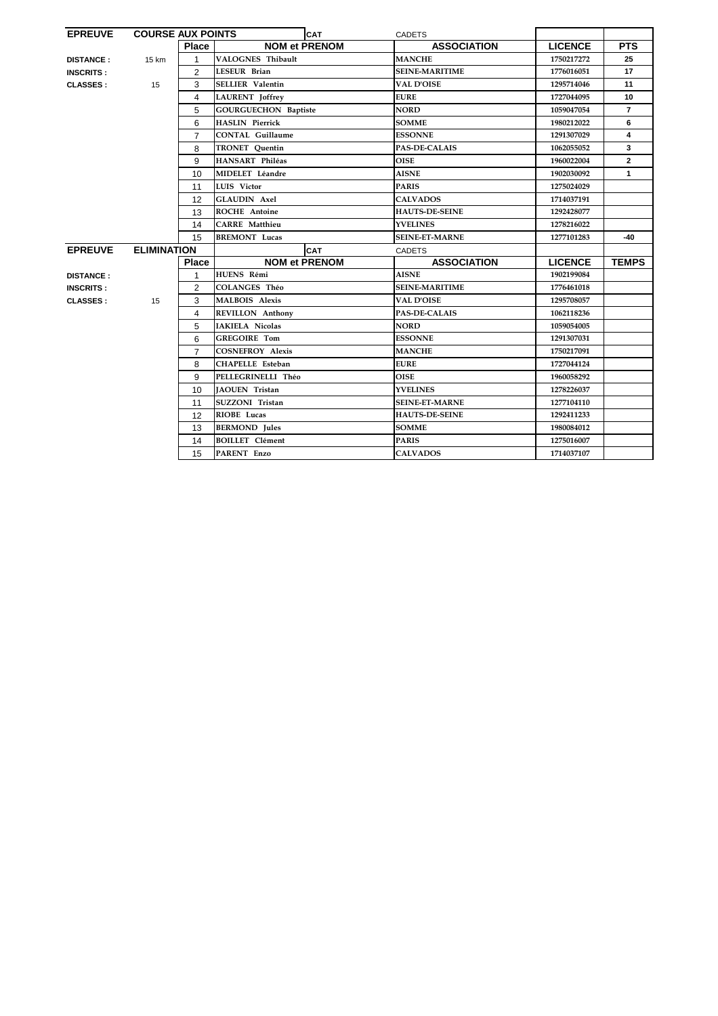| <b>EPREUVE</b>   | <b>COURSE AUX POINTS</b> |                | <b>CAT</b>                  | <b>CADETS</b>         |                |                |
|------------------|--------------------------|----------------|-----------------------------|-----------------------|----------------|----------------|
|                  |                          | <b>Place</b>   | <b>NOM et PRENOM</b>        | <b>ASSOCIATION</b>    | <b>LICENCE</b> | <b>PTS</b>     |
| <b>DISTANCE:</b> | 15 km                    | 1              | VALOGNES Thibault           | <b>MANCHE</b>         | 1750217272     | 25             |
| <b>INSCRITS:</b> |                          | $\overline{2}$ | <b>LESEUR Brian</b>         | <b>SEINE-MARITIME</b> | 1776016051     | 17             |
| <b>CLASSES:</b>  | 15                       | 3              | <b>SELLIER Valentin</b>     | <b>VAL D'OISE</b>     | 1295714046     | 11             |
|                  |                          | 4              | <b>LAURENT</b> Joffrey      | <b>EURE</b>           | 1727044095     | 10             |
|                  |                          | 5              | <b>GOURGUECHON Baptiste</b> | <b>NORD</b>           | 1059047054     | $\overline{7}$ |
|                  |                          | 6              | <b>HASLIN</b> Pierrick      | <b>SOMME</b>          | 1980212022     | 6              |
|                  |                          | 7              | <b>CONTAL Guillaume</b>     | <b>ESSONNE</b>        | 1291307029     | 4              |
|                  |                          | 8              | <b>TRONET</b> Ouentin       | <b>PAS-DE-CALAIS</b>  | 1062055052     | 3              |
|                  |                          | 9              | HANSART Philéas             | <b>OISE</b>           | 1960022004     | $\mathbf{2}$   |
|                  |                          | 10             | MIDELET Léandre             | <b>AISNE</b>          | 1902030092     | $\mathbf{1}$   |
|                  |                          | 11             | <b>LUIS</b> Victor          | <b>PARIS</b>          | 1275024029     |                |
|                  |                          | 12             | <b>GLAUDIN Axel</b>         | <b>CALVADOS</b>       | 1714037191     |                |
|                  |                          | 13             | <b>ROCHE Antoine</b>        | <b>HAUTS-DE-SEINE</b> | 1292428077     |                |
|                  |                          | 14             | <b>CARRE</b> Matthieu       | <b>YVELINES</b>       | 1278216022     |                |
|                  |                          | 15             | <b>BREMONT</b> Lucas        | <b>SEINE-ET-MARNE</b> | 1277101283     | -40            |
| <b>EPREUVE</b>   | <b>ELIMINATION</b>       | <b>CAT</b>     |                             | <b>CADETS</b>         |                |                |
|                  |                          | <b>Place</b>   | <b>NOM et PRENOM</b>        | <b>ASSOCIATION</b>    | <b>LICENCE</b> | <b>TEMPS</b>   |
| <b>DISTANCE:</b> |                          | 1              | HUENS Rémi                  | <b>AISNE</b>          | 1902199084     |                |
| <b>INSCRITS:</b> |                          | $\overline{2}$ | <b>COLANGES Théo</b>        | <b>SEINE-MARITIME</b> | 1776461018     |                |
| <b>CLASSES:</b>  | 15                       | 3              | <b>MALBOIS Alexis</b>       | <b>VAL D'OISE</b>     | 1295708057     |                |
|                  |                          | 4              | <b>REVILLON Anthony</b>     | <b>PAS-DE-CALAIS</b>  | 1062118236     |                |
|                  |                          | 5              | IAKIELA Nicolas             | <b>NORD</b>           | 1059054005     |                |
|                  |                          | 6              | <b>GREGOIRE Tom</b>         | <b>ESSONNE</b>        | 1291307031     |                |
|                  |                          |                | <b>COSNEFROY Alexis</b>     | <b>MANCHE</b>         | 1750217091     |                |
|                  |                          | $\overline{7}$ |                             |                       |                |                |
|                  |                          | 8              | <b>CHAPELLE Esteban</b>     | <b>EURE</b>           | 1727044124     |                |
|                  |                          | 9              | PELLEGRINELLI Théo          | <b>OISE</b>           | 1960058292     |                |
|                  |                          | 10             | <b>IAOUEN</b> Tristan       | <b>YVELINES</b>       | 1278226037     |                |
|                  |                          | 11             | SUZZONI Tristan             | <b>SEINE-ET-MARNE</b> | 1277104110     |                |
|                  |                          | 12             | RIOBE Lucas                 | <b>HAUTS-DE-SEINE</b> | 1292411233     |                |
|                  |                          | 13             | <b>BERMOND</b> Jules        | <b>SOMME</b>          | 1980084012     |                |
|                  |                          | 14             | <b>BOILLET</b> Clément      | <b>PARIS</b>          | 1275016007     |                |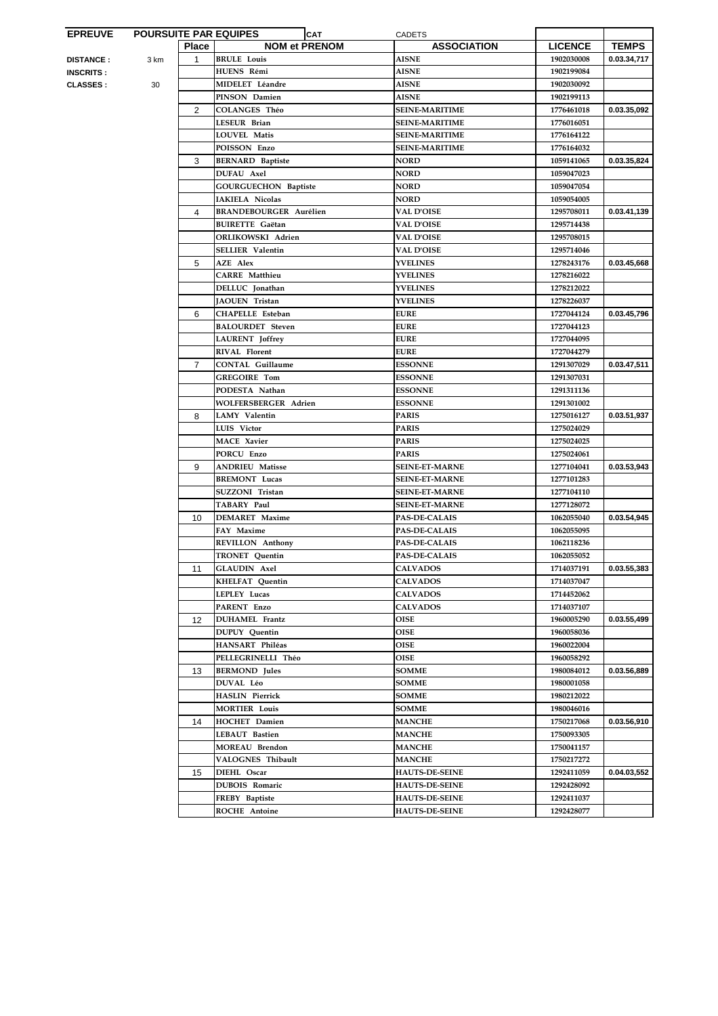| <b>NOM et PRENOM</b><br><b>LICENCE</b><br><b>Place</b><br><b>ASSOCIATION</b><br><b>BRULE Louis</b><br><b>AISNE</b><br>1902030008<br>$\mathbf 1$<br><b>DISTANCE :</b><br>3 km<br>HUENS Rémi<br><b>AISNE</b><br>1902199084<br><b>INSCRITS :</b><br>MIDELET Léandre<br><b>AISNE</b><br>1902030092<br><b>CLASSES :</b><br>30<br><b>AISNE</b><br>PINSON Damien<br>1902199113<br>COLANGES Théo<br><b>SEINE-MARITIME</b><br>1776461018<br>2<br>LESEUR Brian<br><b>SEINE-MARITIME</b><br>1776016051<br>LOUVEL Matis<br><b>SEINE-MARITIME</b><br>1776164122<br>POISSON Enzo<br><b>SEINE-MARITIME</b><br>1776164032<br>3<br><b>NORD</b><br><b>BERNARD Baptiste</b><br>1059141065<br>DUFAU Axel<br><b>NORD</b><br>1059047023<br><b>GOURGUECHON Baptiste</b><br><b>NORD</b><br>1059047054<br><b>IAKIELA Nicolas</b><br><b>NORD</b><br>1059054005<br><b>BRANDEBOURGER Aurélien</b><br><b>VAL D'OISE</b><br>1295708011<br>4<br><b>BUIRETTE Gaëtan</b><br><b>VAL D'OISE</b><br>1295714438<br>ORLIKOWSKI Adrien<br><b>VAL D'OISE</b><br>1295708015<br><b>SELLIER Valentin</b><br><b>VAL D'OISE</b><br>1295714046<br>5<br><b>AZE Alex</b><br><b>YVELINES</b><br>1278243176<br><b>CARRE</b> Matthieu<br><b>YVELINES</b><br>1278216022<br>DELLUC Jonathan<br><b>YVELINES</b><br>1278212022<br>JAOUEN Tristan<br><b>YVELINES</b><br>1278226037<br><b>CHAPELLE</b> Esteban<br><b>EURE</b><br>6<br>1727044124<br><b>BALOURDET</b> Steven<br><b>EURE</b><br>1727044123<br><b>LAURENT</b> Joffrey<br><b>EURE</b><br>1727044095<br><b>RIVAL Florent</b><br><b>EURE</b><br>1727044279<br><b>CONTAL Guillaume</b><br><b>ESSONNE</b><br>1291307029<br>$\overline{7}$<br><b>GREGOIRE Tom</b><br><b>ESSONNE</b><br>1291307031<br>PODESTA Nathan<br><b>ESSONNE</b><br>1291311136<br><b>ESSONNE</b><br>WOLFERSBERGER Adrien<br>1291301002<br>LAMY Valentin<br><b>PARIS</b><br>1275016127<br>8<br>LUIS Victor<br><b>PARIS</b><br>1275024029<br><b>MACE Xavier</b><br><b>PARIS</b><br>1275024025<br>PORCU Enzo<br><b>PARIS</b><br>1275024061<br>9<br><b>ANDRIEU Matisse</b><br><b>SEINE-ET-MARNE</b><br>1277104041<br>0.03.53,943<br><b>BREMONT</b> Lucas<br><b>SEINE-ET-MARNE</b><br>1277101283<br>SUZZONI Tristan<br>1277104110<br><b>SEINE-ET-MARNE</b><br>TABARY Paul<br><b>SEINE-ET-MARNE</b><br>1277128072<br><b>DEMARET</b> Maxime<br><b>PAS-DE-CALAIS</b><br>1062055040<br>10<br>FAY Maxime<br><b>PAS-DE-CALAIS</b><br>1062055095<br><b>REVILLON Anthony</b><br><b>PAS-DE-CALAIS</b><br>1062118236<br><b>TRONET</b> Quentin<br><b>PAS-DE-CALAIS</b><br>1062055052<br><b>GLAUDIN Axel</b><br>11<br><b>CALVADOS</b><br>1714037191<br><b>CALVADOS</b><br><b>KHELFAT Quentin</b><br>1714037047<br>LEPLEY Lucas<br><b>CALVADOS</b><br>1714452062<br><b>CALVADOS</b><br>PARENT Enzo<br>1714037107<br><b>DUHAMEL Frantz</b><br><b>OISE</b><br>1960005290<br>12<br><b>OISE</b><br><b>DUPUY</b> Quentin<br>1960058036<br>HANSART Philéas<br><b>OISE</b><br>1960022004<br><b>OISE</b><br>PELLEGRINELLI Théo<br>1960058292<br><b>BERMOND</b> Jules<br><b>SOMME</b><br>1980084012<br>13<br>DUVAL Léo<br><b>SOMME</b><br>1980001058<br><b>HASLIN Pierrick</b><br><b>SOMME</b><br>1980212022<br><b>MORTIER Louis</b><br><b>SOMME</b><br>1980046016<br><b>HOCHET</b> Damien<br><b>MANCHE</b><br>1750217068<br>14<br>LEBAUT Bastien<br><b>MANCHE</b><br>1750093305<br><b>MOREAU Brendon</b><br><b>MANCHE</b><br>1750041157<br>VALOGNES Thibault<br><b>MANCHE</b><br>1750217272<br>DIEHL Oscar<br><b>HAUTS-DE-SEINE</b><br>15<br>1292411059 | <b>EPREUVE</b> | <b>POURSUITE PAR EQUIPES</b> |                       | <b>CAT</b> | <b>CADETS</b>         |            |              |
|--------------------------------------------------------------------------------------------------------------------------------------------------------------------------------------------------------------------------------------------------------------------------------------------------------------------------------------------------------------------------------------------------------------------------------------------------------------------------------------------------------------------------------------------------------------------------------------------------------------------------------------------------------------------------------------------------------------------------------------------------------------------------------------------------------------------------------------------------------------------------------------------------------------------------------------------------------------------------------------------------------------------------------------------------------------------------------------------------------------------------------------------------------------------------------------------------------------------------------------------------------------------------------------------------------------------------------------------------------------------------------------------------------------------------------------------------------------------------------------------------------------------------------------------------------------------------------------------------------------------------------------------------------------------------------------------------------------------------------------------------------------------------------------------------------------------------------------------------------------------------------------------------------------------------------------------------------------------------------------------------------------------------------------------------------------------------------------------------------------------------------------------------------------------------------------------------------------------------------------------------------------------------------------------------------------------------------------------------------------------------------------------------------------------------------------------------------------------------------------------------------------------------------------------------------------------------------------------------------------------------------------------------------------------------------------------------------------------------------------------------------------------------------------------------------------------------------------------------------------------------------------------------------------------------------------------------------------------------------------------------------------------------------------------------------------------------------------------------------------------------------------------------------------------------------------------------------------------------------------------------------------------------------------------------------------------------------------------------------------------------------------------------------------------------------------------------------------------------------------------------|----------------|------------------------------|-----------------------|------------|-----------------------|------------|--------------|
|                                                                                                                                                                                                                                                                                                                                                                                                                                                                                                                                                                                                                                                                                                                                                                                                                                                                                                                                                                                                                                                                                                                                                                                                                                                                                                                                                                                                                                                                                                                                                                                                                                                                                                                                                                                                                                                                                                                                                                                                                                                                                                                                                                                                                                                                                                                                                                                                                                                                                                                                                                                                                                                                                                                                                                                                                                                                                                                                                                                                                                                                                                                                                                                                                                                                                                                                                                                                                                                                                                  |                |                              |                       |            |                       |            | <b>TEMPS</b> |
|                                                                                                                                                                                                                                                                                                                                                                                                                                                                                                                                                                                                                                                                                                                                                                                                                                                                                                                                                                                                                                                                                                                                                                                                                                                                                                                                                                                                                                                                                                                                                                                                                                                                                                                                                                                                                                                                                                                                                                                                                                                                                                                                                                                                                                                                                                                                                                                                                                                                                                                                                                                                                                                                                                                                                                                                                                                                                                                                                                                                                                                                                                                                                                                                                                                                                                                                                                                                                                                                                                  |                |                              |                       |            |                       |            | 0.03.34,717  |
|                                                                                                                                                                                                                                                                                                                                                                                                                                                                                                                                                                                                                                                                                                                                                                                                                                                                                                                                                                                                                                                                                                                                                                                                                                                                                                                                                                                                                                                                                                                                                                                                                                                                                                                                                                                                                                                                                                                                                                                                                                                                                                                                                                                                                                                                                                                                                                                                                                                                                                                                                                                                                                                                                                                                                                                                                                                                                                                                                                                                                                                                                                                                                                                                                                                                                                                                                                                                                                                                                                  |                |                              |                       |            |                       |            |              |
|                                                                                                                                                                                                                                                                                                                                                                                                                                                                                                                                                                                                                                                                                                                                                                                                                                                                                                                                                                                                                                                                                                                                                                                                                                                                                                                                                                                                                                                                                                                                                                                                                                                                                                                                                                                                                                                                                                                                                                                                                                                                                                                                                                                                                                                                                                                                                                                                                                                                                                                                                                                                                                                                                                                                                                                                                                                                                                                                                                                                                                                                                                                                                                                                                                                                                                                                                                                                                                                                                                  |                |                              |                       |            |                       |            |              |
|                                                                                                                                                                                                                                                                                                                                                                                                                                                                                                                                                                                                                                                                                                                                                                                                                                                                                                                                                                                                                                                                                                                                                                                                                                                                                                                                                                                                                                                                                                                                                                                                                                                                                                                                                                                                                                                                                                                                                                                                                                                                                                                                                                                                                                                                                                                                                                                                                                                                                                                                                                                                                                                                                                                                                                                                                                                                                                                                                                                                                                                                                                                                                                                                                                                                                                                                                                                                                                                                                                  |                |                              |                       |            |                       |            |              |
|                                                                                                                                                                                                                                                                                                                                                                                                                                                                                                                                                                                                                                                                                                                                                                                                                                                                                                                                                                                                                                                                                                                                                                                                                                                                                                                                                                                                                                                                                                                                                                                                                                                                                                                                                                                                                                                                                                                                                                                                                                                                                                                                                                                                                                                                                                                                                                                                                                                                                                                                                                                                                                                                                                                                                                                                                                                                                                                                                                                                                                                                                                                                                                                                                                                                                                                                                                                                                                                                                                  |                |                              |                       |            |                       |            | 0.03.35,092  |
|                                                                                                                                                                                                                                                                                                                                                                                                                                                                                                                                                                                                                                                                                                                                                                                                                                                                                                                                                                                                                                                                                                                                                                                                                                                                                                                                                                                                                                                                                                                                                                                                                                                                                                                                                                                                                                                                                                                                                                                                                                                                                                                                                                                                                                                                                                                                                                                                                                                                                                                                                                                                                                                                                                                                                                                                                                                                                                                                                                                                                                                                                                                                                                                                                                                                                                                                                                                                                                                                                                  |                |                              |                       |            |                       |            |              |
|                                                                                                                                                                                                                                                                                                                                                                                                                                                                                                                                                                                                                                                                                                                                                                                                                                                                                                                                                                                                                                                                                                                                                                                                                                                                                                                                                                                                                                                                                                                                                                                                                                                                                                                                                                                                                                                                                                                                                                                                                                                                                                                                                                                                                                                                                                                                                                                                                                                                                                                                                                                                                                                                                                                                                                                                                                                                                                                                                                                                                                                                                                                                                                                                                                                                                                                                                                                                                                                                                                  |                |                              |                       |            |                       |            |              |
|                                                                                                                                                                                                                                                                                                                                                                                                                                                                                                                                                                                                                                                                                                                                                                                                                                                                                                                                                                                                                                                                                                                                                                                                                                                                                                                                                                                                                                                                                                                                                                                                                                                                                                                                                                                                                                                                                                                                                                                                                                                                                                                                                                                                                                                                                                                                                                                                                                                                                                                                                                                                                                                                                                                                                                                                                                                                                                                                                                                                                                                                                                                                                                                                                                                                                                                                                                                                                                                                                                  |                |                              |                       |            |                       |            |              |
|                                                                                                                                                                                                                                                                                                                                                                                                                                                                                                                                                                                                                                                                                                                                                                                                                                                                                                                                                                                                                                                                                                                                                                                                                                                                                                                                                                                                                                                                                                                                                                                                                                                                                                                                                                                                                                                                                                                                                                                                                                                                                                                                                                                                                                                                                                                                                                                                                                                                                                                                                                                                                                                                                                                                                                                                                                                                                                                                                                                                                                                                                                                                                                                                                                                                                                                                                                                                                                                                                                  |                |                              |                       |            |                       |            | 0.03.35,824  |
|                                                                                                                                                                                                                                                                                                                                                                                                                                                                                                                                                                                                                                                                                                                                                                                                                                                                                                                                                                                                                                                                                                                                                                                                                                                                                                                                                                                                                                                                                                                                                                                                                                                                                                                                                                                                                                                                                                                                                                                                                                                                                                                                                                                                                                                                                                                                                                                                                                                                                                                                                                                                                                                                                                                                                                                                                                                                                                                                                                                                                                                                                                                                                                                                                                                                                                                                                                                                                                                                                                  |                |                              |                       |            |                       |            |              |
|                                                                                                                                                                                                                                                                                                                                                                                                                                                                                                                                                                                                                                                                                                                                                                                                                                                                                                                                                                                                                                                                                                                                                                                                                                                                                                                                                                                                                                                                                                                                                                                                                                                                                                                                                                                                                                                                                                                                                                                                                                                                                                                                                                                                                                                                                                                                                                                                                                                                                                                                                                                                                                                                                                                                                                                                                                                                                                                                                                                                                                                                                                                                                                                                                                                                                                                                                                                                                                                                                                  |                |                              |                       |            |                       |            |              |
|                                                                                                                                                                                                                                                                                                                                                                                                                                                                                                                                                                                                                                                                                                                                                                                                                                                                                                                                                                                                                                                                                                                                                                                                                                                                                                                                                                                                                                                                                                                                                                                                                                                                                                                                                                                                                                                                                                                                                                                                                                                                                                                                                                                                                                                                                                                                                                                                                                                                                                                                                                                                                                                                                                                                                                                                                                                                                                                                                                                                                                                                                                                                                                                                                                                                                                                                                                                                                                                                                                  |                |                              |                       |            |                       |            |              |
|                                                                                                                                                                                                                                                                                                                                                                                                                                                                                                                                                                                                                                                                                                                                                                                                                                                                                                                                                                                                                                                                                                                                                                                                                                                                                                                                                                                                                                                                                                                                                                                                                                                                                                                                                                                                                                                                                                                                                                                                                                                                                                                                                                                                                                                                                                                                                                                                                                                                                                                                                                                                                                                                                                                                                                                                                                                                                                                                                                                                                                                                                                                                                                                                                                                                                                                                                                                                                                                                                                  |                |                              |                       |            |                       |            | 0.03.41,139  |
|                                                                                                                                                                                                                                                                                                                                                                                                                                                                                                                                                                                                                                                                                                                                                                                                                                                                                                                                                                                                                                                                                                                                                                                                                                                                                                                                                                                                                                                                                                                                                                                                                                                                                                                                                                                                                                                                                                                                                                                                                                                                                                                                                                                                                                                                                                                                                                                                                                                                                                                                                                                                                                                                                                                                                                                                                                                                                                                                                                                                                                                                                                                                                                                                                                                                                                                                                                                                                                                                                                  |                |                              |                       |            |                       |            |              |
|                                                                                                                                                                                                                                                                                                                                                                                                                                                                                                                                                                                                                                                                                                                                                                                                                                                                                                                                                                                                                                                                                                                                                                                                                                                                                                                                                                                                                                                                                                                                                                                                                                                                                                                                                                                                                                                                                                                                                                                                                                                                                                                                                                                                                                                                                                                                                                                                                                                                                                                                                                                                                                                                                                                                                                                                                                                                                                                                                                                                                                                                                                                                                                                                                                                                                                                                                                                                                                                                                                  |                |                              |                       |            |                       |            |              |
|                                                                                                                                                                                                                                                                                                                                                                                                                                                                                                                                                                                                                                                                                                                                                                                                                                                                                                                                                                                                                                                                                                                                                                                                                                                                                                                                                                                                                                                                                                                                                                                                                                                                                                                                                                                                                                                                                                                                                                                                                                                                                                                                                                                                                                                                                                                                                                                                                                                                                                                                                                                                                                                                                                                                                                                                                                                                                                                                                                                                                                                                                                                                                                                                                                                                                                                                                                                                                                                                                                  |                |                              |                       |            |                       |            |              |
|                                                                                                                                                                                                                                                                                                                                                                                                                                                                                                                                                                                                                                                                                                                                                                                                                                                                                                                                                                                                                                                                                                                                                                                                                                                                                                                                                                                                                                                                                                                                                                                                                                                                                                                                                                                                                                                                                                                                                                                                                                                                                                                                                                                                                                                                                                                                                                                                                                                                                                                                                                                                                                                                                                                                                                                                                                                                                                                                                                                                                                                                                                                                                                                                                                                                                                                                                                                                                                                                                                  |                |                              |                       |            |                       |            | 0.03.45,668  |
|                                                                                                                                                                                                                                                                                                                                                                                                                                                                                                                                                                                                                                                                                                                                                                                                                                                                                                                                                                                                                                                                                                                                                                                                                                                                                                                                                                                                                                                                                                                                                                                                                                                                                                                                                                                                                                                                                                                                                                                                                                                                                                                                                                                                                                                                                                                                                                                                                                                                                                                                                                                                                                                                                                                                                                                                                                                                                                                                                                                                                                                                                                                                                                                                                                                                                                                                                                                                                                                                                                  |                |                              |                       |            |                       |            |              |
|                                                                                                                                                                                                                                                                                                                                                                                                                                                                                                                                                                                                                                                                                                                                                                                                                                                                                                                                                                                                                                                                                                                                                                                                                                                                                                                                                                                                                                                                                                                                                                                                                                                                                                                                                                                                                                                                                                                                                                                                                                                                                                                                                                                                                                                                                                                                                                                                                                                                                                                                                                                                                                                                                                                                                                                                                                                                                                                                                                                                                                                                                                                                                                                                                                                                                                                                                                                                                                                                                                  |                |                              |                       |            |                       |            |              |
|                                                                                                                                                                                                                                                                                                                                                                                                                                                                                                                                                                                                                                                                                                                                                                                                                                                                                                                                                                                                                                                                                                                                                                                                                                                                                                                                                                                                                                                                                                                                                                                                                                                                                                                                                                                                                                                                                                                                                                                                                                                                                                                                                                                                                                                                                                                                                                                                                                                                                                                                                                                                                                                                                                                                                                                                                                                                                                                                                                                                                                                                                                                                                                                                                                                                                                                                                                                                                                                                                                  |                |                              |                       |            |                       |            |              |
|                                                                                                                                                                                                                                                                                                                                                                                                                                                                                                                                                                                                                                                                                                                                                                                                                                                                                                                                                                                                                                                                                                                                                                                                                                                                                                                                                                                                                                                                                                                                                                                                                                                                                                                                                                                                                                                                                                                                                                                                                                                                                                                                                                                                                                                                                                                                                                                                                                                                                                                                                                                                                                                                                                                                                                                                                                                                                                                                                                                                                                                                                                                                                                                                                                                                                                                                                                                                                                                                                                  |                |                              |                       |            |                       |            | 0.03.45,796  |
|                                                                                                                                                                                                                                                                                                                                                                                                                                                                                                                                                                                                                                                                                                                                                                                                                                                                                                                                                                                                                                                                                                                                                                                                                                                                                                                                                                                                                                                                                                                                                                                                                                                                                                                                                                                                                                                                                                                                                                                                                                                                                                                                                                                                                                                                                                                                                                                                                                                                                                                                                                                                                                                                                                                                                                                                                                                                                                                                                                                                                                                                                                                                                                                                                                                                                                                                                                                                                                                                                                  |                |                              |                       |            |                       |            |              |
|                                                                                                                                                                                                                                                                                                                                                                                                                                                                                                                                                                                                                                                                                                                                                                                                                                                                                                                                                                                                                                                                                                                                                                                                                                                                                                                                                                                                                                                                                                                                                                                                                                                                                                                                                                                                                                                                                                                                                                                                                                                                                                                                                                                                                                                                                                                                                                                                                                                                                                                                                                                                                                                                                                                                                                                                                                                                                                                                                                                                                                                                                                                                                                                                                                                                                                                                                                                                                                                                                                  |                |                              |                       |            |                       |            |              |
|                                                                                                                                                                                                                                                                                                                                                                                                                                                                                                                                                                                                                                                                                                                                                                                                                                                                                                                                                                                                                                                                                                                                                                                                                                                                                                                                                                                                                                                                                                                                                                                                                                                                                                                                                                                                                                                                                                                                                                                                                                                                                                                                                                                                                                                                                                                                                                                                                                                                                                                                                                                                                                                                                                                                                                                                                                                                                                                                                                                                                                                                                                                                                                                                                                                                                                                                                                                                                                                                                                  |                |                              |                       |            |                       |            |              |
|                                                                                                                                                                                                                                                                                                                                                                                                                                                                                                                                                                                                                                                                                                                                                                                                                                                                                                                                                                                                                                                                                                                                                                                                                                                                                                                                                                                                                                                                                                                                                                                                                                                                                                                                                                                                                                                                                                                                                                                                                                                                                                                                                                                                                                                                                                                                                                                                                                                                                                                                                                                                                                                                                                                                                                                                                                                                                                                                                                                                                                                                                                                                                                                                                                                                                                                                                                                                                                                                                                  |                |                              |                       |            |                       |            | 0.03.47,511  |
|                                                                                                                                                                                                                                                                                                                                                                                                                                                                                                                                                                                                                                                                                                                                                                                                                                                                                                                                                                                                                                                                                                                                                                                                                                                                                                                                                                                                                                                                                                                                                                                                                                                                                                                                                                                                                                                                                                                                                                                                                                                                                                                                                                                                                                                                                                                                                                                                                                                                                                                                                                                                                                                                                                                                                                                                                                                                                                                                                                                                                                                                                                                                                                                                                                                                                                                                                                                                                                                                                                  |                |                              |                       |            |                       |            |              |
|                                                                                                                                                                                                                                                                                                                                                                                                                                                                                                                                                                                                                                                                                                                                                                                                                                                                                                                                                                                                                                                                                                                                                                                                                                                                                                                                                                                                                                                                                                                                                                                                                                                                                                                                                                                                                                                                                                                                                                                                                                                                                                                                                                                                                                                                                                                                                                                                                                                                                                                                                                                                                                                                                                                                                                                                                                                                                                                                                                                                                                                                                                                                                                                                                                                                                                                                                                                                                                                                                                  |                |                              |                       |            |                       |            |              |
|                                                                                                                                                                                                                                                                                                                                                                                                                                                                                                                                                                                                                                                                                                                                                                                                                                                                                                                                                                                                                                                                                                                                                                                                                                                                                                                                                                                                                                                                                                                                                                                                                                                                                                                                                                                                                                                                                                                                                                                                                                                                                                                                                                                                                                                                                                                                                                                                                                                                                                                                                                                                                                                                                                                                                                                                                                                                                                                                                                                                                                                                                                                                                                                                                                                                                                                                                                                                                                                                                                  |                |                              |                       |            |                       |            |              |
|                                                                                                                                                                                                                                                                                                                                                                                                                                                                                                                                                                                                                                                                                                                                                                                                                                                                                                                                                                                                                                                                                                                                                                                                                                                                                                                                                                                                                                                                                                                                                                                                                                                                                                                                                                                                                                                                                                                                                                                                                                                                                                                                                                                                                                                                                                                                                                                                                                                                                                                                                                                                                                                                                                                                                                                                                                                                                                                                                                                                                                                                                                                                                                                                                                                                                                                                                                                                                                                                                                  |                |                              |                       |            |                       |            | 0.03.51,937  |
|                                                                                                                                                                                                                                                                                                                                                                                                                                                                                                                                                                                                                                                                                                                                                                                                                                                                                                                                                                                                                                                                                                                                                                                                                                                                                                                                                                                                                                                                                                                                                                                                                                                                                                                                                                                                                                                                                                                                                                                                                                                                                                                                                                                                                                                                                                                                                                                                                                                                                                                                                                                                                                                                                                                                                                                                                                                                                                                                                                                                                                                                                                                                                                                                                                                                                                                                                                                                                                                                                                  |                |                              |                       |            |                       |            |              |
|                                                                                                                                                                                                                                                                                                                                                                                                                                                                                                                                                                                                                                                                                                                                                                                                                                                                                                                                                                                                                                                                                                                                                                                                                                                                                                                                                                                                                                                                                                                                                                                                                                                                                                                                                                                                                                                                                                                                                                                                                                                                                                                                                                                                                                                                                                                                                                                                                                                                                                                                                                                                                                                                                                                                                                                                                                                                                                                                                                                                                                                                                                                                                                                                                                                                                                                                                                                                                                                                                                  |                |                              |                       |            |                       |            |              |
|                                                                                                                                                                                                                                                                                                                                                                                                                                                                                                                                                                                                                                                                                                                                                                                                                                                                                                                                                                                                                                                                                                                                                                                                                                                                                                                                                                                                                                                                                                                                                                                                                                                                                                                                                                                                                                                                                                                                                                                                                                                                                                                                                                                                                                                                                                                                                                                                                                                                                                                                                                                                                                                                                                                                                                                                                                                                                                                                                                                                                                                                                                                                                                                                                                                                                                                                                                                                                                                                                                  |                |                              |                       |            |                       |            |              |
|                                                                                                                                                                                                                                                                                                                                                                                                                                                                                                                                                                                                                                                                                                                                                                                                                                                                                                                                                                                                                                                                                                                                                                                                                                                                                                                                                                                                                                                                                                                                                                                                                                                                                                                                                                                                                                                                                                                                                                                                                                                                                                                                                                                                                                                                                                                                                                                                                                                                                                                                                                                                                                                                                                                                                                                                                                                                                                                                                                                                                                                                                                                                                                                                                                                                                                                                                                                                                                                                                                  |                |                              |                       |            |                       |            |              |
|                                                                                                                                                                                                                                                                                                                                                                                                                                                                                                                                                                                                                                                                                                                                                                                                                                                                                                                                                                                                                                                                                                                                                                                                                                                                                                                                                                                                                                                                                                                                                                                                                                                                                                                                                                                                                                                                                                                                                                                                                                                                                                                                                                                                                                                                                                                                                                                                                                                                                                                                                                                                                                                                                                                                                                                                                                                                                                                                                                                                                                                                                                                                                                                                                                                                                                                                                                                                                                                                                                  |                |                              |                       |            |                       |            |              |
|                                                                                                                                                                                                                                                                                                                                                                                                                                                                                                                                                                                                                                                                                                                                                                                                                                                                                                                                                                                                                                                                                                                                                                                                                                                                                                                                                                                                                                                                                                                                                                                                                                                                                                                                                                                                                                                                                                                                                                                                                                                                                                                                                                                                                                                                                                                                                                                                                                                                                                                                                                                                                                                                                                                                                                                                                                                                                                                                                                                                                                                                                                                                                                                                                                                                                                                                                                                                                                                                                                  |                |                              |                       |            |                       |            |              |
|                                                                                                                                                                                                                                                                                                                                                                                                                                                                                                                                                                                                                                                                                                                                                                                                                                                                                                                                                                                                                                                                                                                                                                                                                                                                                                                                                                                                                                                                                                                                                                                                                                                                                                                                                                                                                                                                                                                                                                                                                                                                                                                                                                                                                                                                                                                                                                                                                                                                                                                                                                                                                                                                                                                                                                                                                                                                                                                                                                                                                                                                                                                                                                                                                                                                                                                                                                                                                                                                                                  |                |                              |                       |            |                       |            | 0.03.54,945  |
|                                                                                                                                                                                                                                                                                                                                                                                                                                                                                                                                                                                                                                                                                                                                                                                                                                                                                                                                                                                                                                                                                                                                                                                                                                                                                                                                                                                                                                                                                                                                                                                                                                                                                                                                                                                                                                                                                                                                                                                                                                                                                                                                                                                                                                                                                                                                                                                                                                                                                                                                                                                                                                                                                                                                                                                                                                                                                                                                                                                                                                                                                                                                                                                                                                                                                                                                                                                                                                                                                                  |                |                              |                       |            |                       |            |              |
|                                                                                                                                                                                                                                                                                                                                                                                                                                                                                                                                                                                                                                                                                                                                                                                                                                                                                                                                                                                                                                                                                                                                                                                                                                                                                                                                                                                                                                                                                                                                                                                                                                                                                                                                                                                                                                                                                                                                                                                                                                                                                                                                                                                                                                                                                                                                                                                                                                                                                                                                                                                                                                                                                                                                                                                                                                                                                                                                                                                                                                                                                                                                                                                                                                                                                                                                                                                                                                                                                                  |                |                              |                       |            |                       |            |              |
|                                                                                                                                                                                                                                                                                                                                                                                                                                                                                                                                                                                                                                                                                                                                                                                                                                                                                                                                                                                                                                                                                                                                                                                                                                                                                                                                                                                                                                                                                                                                                                                                                                                                                                                                                                                                                                                                                                                                                                                                                                                                                                                                                                                                                                                                                                                                                                                                                                                                                                                                                                                                                                                                                                                                                                                                                                                                                                                                                                                                                                                                                                                                                                                                                                                                                                                                                                                                                                                                                                  |                |                              |                       |            |                       |            |              |
|                                                                                                                                                                                                                                                                                                                                                                                                                                                                                                                                                                                                                                                                                                                                                                                                                                                                                                                                                                                                                                                                                                                                                                                                                                                                                                                                                                                                                                                                                                                                                                                                                                                                                                                                                                                                                                                                                                                                                                                                                                                                                                                                                                                                                                                                                                                                                                                                                                                                                                                                                                                                                                                                                                                                                                                                                                                                                                                                                                                                                                                                                                                                                                                                                                                                                                                                                                                                                                                                                                  |                |                              |                       |            |                       |            | 0.03.55,383  |
|                                                                                                                                                                                                                                                                                                                                                                                                                                                                                                                                                                                                                                                                                                                                                                                                                                                                                                                                                                                                                                                                                                                                                                                                                                                                                                                                                                                                                                                                                                                                                                                                                                                                                                                                                                                                                                                                                                                                                                                                                                                                                                                                                                                                                                                                                                                                                                                                                                                                                                                                                                                                                                                                                                                                                                                                                                                                                                                                                                                                                                                                                                                                                                                                                                                                                                                                                                                                                                                                                                  |                |                              |                       |            |                       |            |              |
|                                                                                                                                                                                                                                                                                                                                                                                                                                                                                                                                                                                                                                                                                                                                                                                                                                                                                                                                                                                                                                                                                                                                                                                                                                                                                                                                                                                                                                                                                                                                                                                                                                                                                                                                                                                                                                                                                                                                                                                                                                                                                                                                                                                                                                                                                                                                                                                                                                                                                                                                                                                                                                                                                                                                                                                                                                                                                                                                                                                                                                                                                                                                                                                                                                                                                                                                                                                                                                                                                                  |                |                              |                       |            |                       |            |              |
|                                                                                                                                                                                                                                                                                                                                                                                                                                                                                                                                                                                                                                                                                                                                                                                                                                                                                                                                                                                                                                                                                                                                                                                                                                                                                                                                                                                                                                                                                                                                                                                                                                                                                                                                                                                                                                                                                                                                                                                                                                                                                                                                                                                                                                                                                                                                                                                                                                                                                                                                                                                                                                                                                                                                                                                                                                                                                                                                                                                                                                                                                                                                                                                                                                                                                                                                                                                                                                                                                                  |                |                              |                       |            |                       |            |              |
|                                                                                                                                                                                                                                                                                                                                                                                                                                                                                                                                                                                                                                                                                                                                                                                                                                                                                                                                                                                                                                                                                                                                                                                                                                                                                                                                                                                                                                                                                                                                                                                                                                                                                                                                                                                                                                                                                                                                                                                                                                                                                                                                                                                                                                                                                                                                                                                                                                                                                                                                                                                                                                                                                                                                                                                                                                                                                                                                                                                                                                                                                                                                                                                                                                                                                                                                                                                                                                                                                                  |                |                              |                       |            |                       |            | 0.03.55,499  |
|                                                                                                                                                                                                                                                                                                                                                                                                                                                                                                                                                                                                                                                                                                                                                                                                                                                                                                                                                                                                                                                                                                                                                                                                                                                                                                                                                                                                                                                                                                                                                                                                                                                                                                                                                                                                                                                                                                                                                                                                                                                                                                                                                                                                                                                                                                                                                                                                                                                                                                                                                                                                                                                                                                                                                                                                                                                                                                                                                                                                                                                                                                                                                                                                                                                                                                                                                                                                                                                                                                  |                |                              |                       |            |                       |            |              |
|                                                                                                                                                                                                                                                                                                                                                                                                                                                                                                                                                                                                                                                                                                                                                                                                                                                                                                                                                                                                                                                                                                                                                                                                                                                                                                                                                                                                                                                                                                                                                                                                                                                                                                                                                                                                                                                                                                                                                                                                                                                                                                                                                                                                                                                                                                                                                                                                                                                                                                                                                                                                                                                                                                                                                                                                                                                                                                                                                                                                                                                                                                                                                                                                                                                                                                                                                                                                                                                                                                  |                |                              |                       |            |                       |            |              |
|                                                                                                                                                                                                                                                                                                                                                                                                                                                                                                                                                                                                                                                                                                                                                                                                                                                                                                                                                                                                                                                                                                                                                                                                                                                                                                                                                                                                                                                                                                                                                                                                                                                                                                                                                                                                                                                                                                                                                                                                                                                                                                                                                                                                                                                                                                                                                                                                                                                                                                                                                                                                                                                                                                                                                                                                                                                                                                                                                                                                                                                                                                                                                                                                                                                                                                                                                                                                                                                                                                  |                |                              |                       |            |                       |            |              |
|                                                                                                                                                                                                                                                                                                                                                                                                                                                                                                                                                                                                                                                                                                                                                                                                                                                                                                                                                                                                                                                                                                                                                                                                                                                                                                                                                                                                                                                                                                                                                                                                                                                                                                                                                                                                                                                                                                                                                                                                                                                                                                                                                                                                                                                                                                                                                                                                                                                                                                                                                                                                                                                                                                                                                                                                                                                                                                                                                                                                                                                                                                                                                                                                                                                                                                                                                                                                                                                                                                  |                |                              |                       |            |                       |            | 0.03.56,889  |
|                                                                                                                                                                                                                                                                                                                                                                                                                                                                                                                                                                                                                                                                                                                                                                                                                                                                                                                                                                                                                                                                                                                                                                                                                                                                                                                                                                                                                                                                                                                                                                                                                                                                                                                                                                                                                                                                                                                                                                                                                                                                                                                                                                                                                                                                                                                                                                                                                                                                                                                                                                                                                                                                                                                                                                                                                                                                                                                                                                                                                                                                                                                                                                                                                                                                                                                                                                                                                                                                                                  |                |                              |                       |            |                       |            |              |
|                                                                                                                                                                                                                                                                                                                                                                                                                                                                                                                                                                                                                                                                                                                                                                                                                                                                                                                                                                                                                                                                                                                                                                                                                                                                                                                                                                                                                                                                                                                                                                                                                                                                                                                                                                                                                                                                                                                                                                                                                                                                                                                                                                                                                                                                                                                                                                                                                                                                                                                                                                                                                                                                                                                                                                                                                                                                                                                                                                                                                                                                                                                                                                                                                                                                                                                                                                                                                                                                                                  |                |                              |                       |            |                       |            |              |
|                                                                                                                                                                                                                                                                                                                                                                                                                                                                                                                                                                                                                                                                                                                                                                                                                                                                                                                                                                                                                                                                                                                                                                                                                                                                                                                                                                                                                                                                                                                                                                                                                                                                                                                                                                                                                                                                                                                                                                                                                                                                                                                                                                                                                                                                                                                                                                                                                                                                                                                                                                                                                                                                                                                                                                                                                                                                                                                                                                                                                                                                                                                                                                                                                                                                                                                                                                                                                                                                                                  |                |                              |                       |            |                       |            |              |
|                                                                                                                                                                                                                                                                                                                                                                                                                                                                                                                                                                                                                                                                                                                                                                                                                                                                                                                                                                                                                                                                                                                                                                                                                                                                                                                                                                                                                                                                                                                                                                                                                                                                                                                                                                                                                                                                                                                                                                                                                                                                                                                                                                                                                                                                                                                                                                                                                                                                                                                                                                                                                                                                                                                                                                                                                                                                                                                                                                                                                                                                                                                                                                                                                                                                                                                                                                                                                                                                                                  |                |                              |                       |            |                       |            | 0.03.56,910  |
|                                                                                                                                                                                                                                                                                                                                                                                                                                                                                                                                                                                                                                                                                                                                                                                                                                                                                                                                                                                                                                                                                                                                                                                                                                                                                                                                                                                                                                                                                                                                                                                                                                                                                                                                                                                                                                                                                                                                                                                                                                                                                                                                                                                                                                                                                                                                                                                                                                                                                                                                                                                                                                                                                                                                                                                                                                                                                                                                                                                                                                                                                                                                                                                                                                                                                                                                                                                                                                                                                                  |                |                              |                       |            |                       |            |              |
|                                                                                                                                                                                                                                                                                                                                                                                                                                                                                                                                                                                                                                                                                                                                                                                                                                                                                                                                                                                                                                                                                                                                                                                                                                                                                                                                                                                                                                                                                                                                                                                                                                                                                                                                                                                                                                                                                                                                                                                                                                                                                                                                                                                                                                                                                                                                                                                                                                                                                                                                                                                                                                                                                                                                                                                                                                                                                                                                                                                                                                                                                                                                                                                                                                                                                                                                                                                                                                                                                                  |                |                              |                       |            |                       |            |              |
|                                                                                                                                                                                                                                                                                                                                                                                                                                                                                                                                                                                                                                                                                                                                                                                                                                                                                                                                                                                                                                                                                                                                                                                                                                                                                                                                                                                                                                                                                                                                                                                                                                                                                                                                                                                                                                                                                                                                                                                                                                                                                                                                                                                                                                                                                                                                                                                                                                                                                                                                                                                                                                                                                                                                                                                                                                                                                                                                                                                                                                                                                                                                                                                                                                                                                                                                                                                                                                                                                                  |                |                              |                       |            |                       |            |              |
|                                                                                                                                                                                                                                                                                                                                                                                                                                                                                                                                                                                                                                                                                                                                                                                                                                                                                                                                                                                                                                                                                                                                                                                                                                                                                                                                                                                                                                                                                                                                                                                                                                                                                                                                                                                                                                                                                                                                                                                                                                                                                                                                                                                                                                                                                                                                                                                                                                                                                                                                                                                                                                                                                                                                                                                                                                                                                                                                                                                                                                                                                                                                                                                                                                                                                                                                                                                                                                                                                                  |                |                              |                       |            |                       |            | 0.04.03,552  |
|                                                                                                                                                                                                                                                                                                                                                                                                                                                                                                                                                                                                                                                                                                                                                                                                                                                                                                                                                                                                                                                                                                                                                                                                                                                                                                                                                                                                                                                                                                                                                                                                                                                                                                                                                                                                                                                                                                                                                                                                                                                                                                                                                                                                                                                                                                                                                                                                                                                                                                                                                                                                                                                                                                                                                                                                                                                                                                                                                                                                                                                                                                                                                                                                                                                                                                                                                                                                                                                                                                  |                |                              | <b>DUBOIS Romaric</b> |            | <b>HAUTS-DE-SEINE</b> | 1292428092 |              |
| FREBY Baptiste<br><b>HAUTS-DE-SEINE</b><br>1292411037                                                                                                                                                                                                                                                                                                                                                                                                                                                                                                                                                                                                                                                                                                                                                                                                                                                                                                                                                                                                                                                                                                                                                                                                                                                                                                                                                                                                                                                                                                                                                                                                                                                                                                                                                                                                                                                                                                                                                                                                                                                                                                                                                                                                                                                                                                                                                                                                                                                                                                                                                                                                                                                                                                                                                                                                                                                                                                                                                                                                                                                                                                                                                                                                                                                                                                                                                                                                                                            |                |                              |                       |            |                       |            |              |
| <b>ROCHE Antoine</b><br><b>HAUTS-DE-SEINE</b><br>1292428077                                                                                                                                                                                                                                                                                                                                                                                                                                                                                                                                                                                                                                                                                                                                                                                                                                                                                                                                                                                                                                                                                                                                                                                                                                                                                                                                                                                                                                                                                                                                                                                                                                                                                                                                                                                                                                                                                                                                                                                                                                                                                                                                                                                                                                                                                                                                                                                                                                                                                                                                                                                                                                                                                                                                                                                                                                                                                                                                                                                                                                                                                                                                                                                                                                                                                                                                                                                                                                      |                |                              |                       |            |                       |            |              |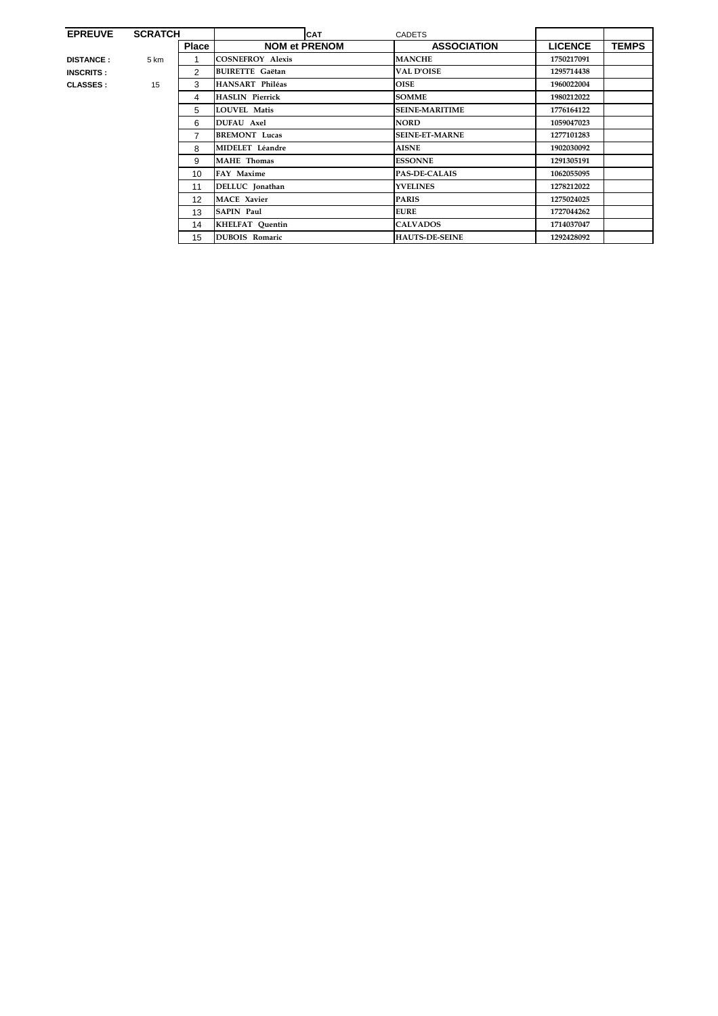| <b>EPREUVE</b>   | <b>SCRATCH</b> |                   | <b>CAT</b>              | <b>CADETS</b>         |                |              |
|------------------|----------------|-------------------|-------------------------|-----------------------|----------------|--------------|
|                  |                | <b>Place</b>      | <b>NOM et PRENOM</b>    | <b>ASSOCIATION</b>    | <b>LICENCE</b> | <b>TEMPS</b> |
| <b>DISTANCE:</b> | 5 km           | 1                 | <b>COSNEFROY Alexis</b> | <b>MANCHE</b>         | 1750217091     |              |
| <b>INSCRITS:</b> |                | $\overline{2}$    | <b>BUIRETTE Gaëtan</b>  | <b>VAL D'OISE</b>     | 1295714438     |              |
| <b>CLASSES:</b>  | 15             | 3                 | HANSART Philéas         | <b>OISE</b>           | 1960022004     |              |
|                  |                | 4                 | <b>HASLIN Pierrick</b>  | <b>SOMME</b>          | 1980212022     |              |
|                  |                | 5                 | <b>LOUVEL Matis</b>     | <b>SEINE-MARITIME</b> | 1776164122     |              |
|                  |                | 6                 | <b>DUFAU</b> Axel       | <b>NORD</b>           | 1059047023     |              |
|                  |                | $\overline{7}$    | <b>BREMONT</b> Lucas    | <b>SEINE-ET-MARNE</b> | 1277101283     |              |
|                  |                | 8                 | MIDELET Léandre         | <b>AISNE</b>          | 1902030092     |              |
|                  |                | 9                 | <b>MAHE</b> Thomas      | <b>ESSONNE</b>        | 1291305191     |              |
|                  |                | 10                | FAY Maxime              | <b>PAS-DE-CALAIS</b>  | 1062055095     |              |
|                  |                | 11                | DELLUC Jonathan         | <b>YVELINES</b>       | 1278212022     |              |
|                  |                | $12 \overline{ }$ | <b>MACE Xavier</b>      | <b>PARIS</b>          | 1275024025     |              |
|                  |                | 13                | <b>SAPIN Paul</b>       | <b>EURE</b>           | 1727044262     |              |
|                  |                | 14                | <b>KHELFAT Quentin</b>  | <b>CALVADOS</b>       | 1714037047     |              |
|                  |                | 15                | <b>DUBOIS Romaric</b>   | <b>HAUTS-DE-SEINE</b> | 1292428092     |              |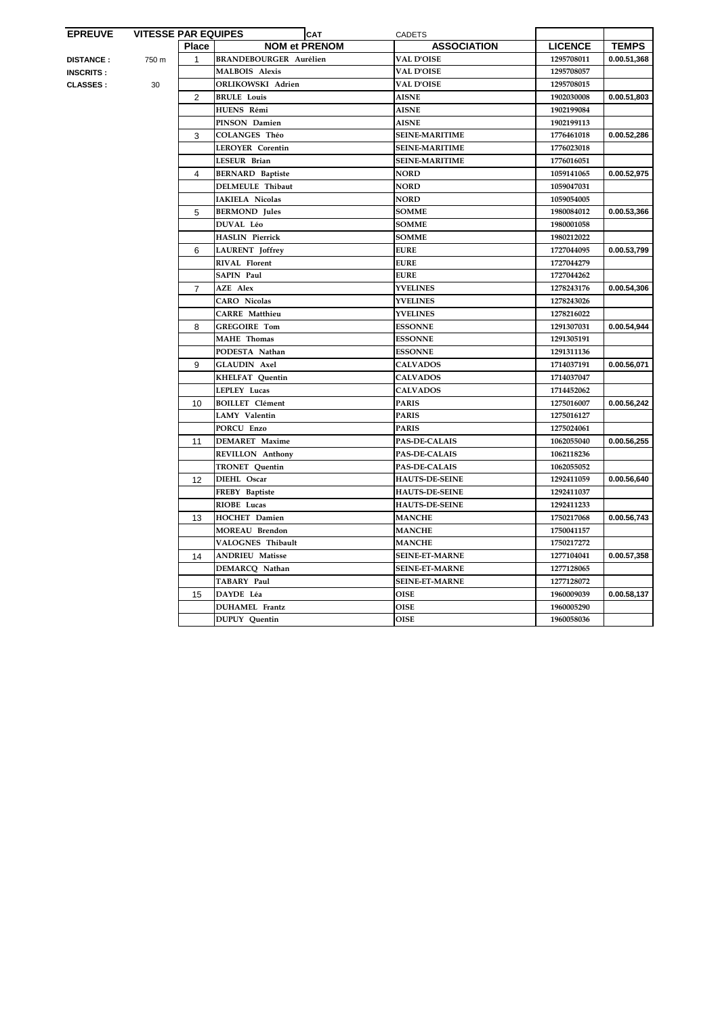| <b>EPREUVE</b>   | <b>VITESSE PAR EQUIPES</b> |                | <b>CAT</b>                    | <b>CADETS</b>         |                |              |
|------------------|----------------------------|----------------|-------------------------------|-----------------------|----------------|--------------|
|                  |                            | <b>Place</b>   | <b>NOM et PRENOM</b>          | <b>ASSOCIATION</b>    | <b>LICENCE</b> | <b>TEMPS</b> |
| <b>DISTANCE:</b> | 750 m                      | $\mathbf{1}$   | <b>BRANDEBOURGER Aurélien</b> | <b>VAL D'OISE</b>     | 1295708011     | 0.00.51,368  |
| <b>INSCRITS:</b> |                            |                | <b>MALBOIS Alexis</b>         | <b>VAL D'OISE</b>     | 1295708057     |              |
| <b>CLASSES :</b> | 30                         |                | ORLIKOWSKI Adrien             | <b>VAL D'OISE</b>     | 1295708015     |              |
|                  |                            | $\overline{2}$ | <b>BRULE Louis</b>            | <b>AISNE</b>          | 1902030008     | 0.00.51,803  |
|                  |                            |                | HUENS Rémi                    | <b>AISNE</b>          | 1902199084     |              |
|                  |                            |                | PINSON Damien                 | <b>AISNE</b>          | 1902199113     |              |
|                  |                            | 3              | <b>COLANGES Théo</b>          | <b>SEINE-MARITIME</b> | 1776461018     | 0.00.52,286  |
|                  |                            |                | <b>LEROYER Corentin</b>       | <b>SEINE-MARITIME</b> | 1776023018     |              |
|                  |                            |                | LESEUR Brian                  | <b>SEINE-MARITIME</b> | 1776016051     |              |
|                  |                            | 4              | <b>BERNARD Baptiste</b>       | <b>NORD</b>           | 1059141065     | 0.00.52,975  |
|                  |                            |                | <b>DELMEULE Thibaut</b>       | <b>NORD</b>           | 1059047031     |              |
|                  |                            |                | IAKIELA Nicolas               | <b>NORD</b>           | 1059054005     |              |
|                  |                            | 5              | <b>BERMOND</b> Jules          | <b>SOMME</b>          | 1980084012     | 0.00.53,366  |
|                  |                            |                | <b>DUVAL Léo</b>              | <b>SOMME</b>          | 1980001058     |              |
|                  |                            |                | <b>HASLIN Pierrick</b>        | <b>SOMME</b>          | 1980212022     |              |
|                  |                            | 6              | <b>LAURENT</b> Joffrey        | <b>EURE</b>           | 1727044095     | 0.00.53,799  |
|                  |                            |                | <b>RIVAL Florent</b>          | <b>EURE</b>           | 1727044279     |              |
|                  |                            |                | SAPIN Paul                    | <b>EURE</b>           | 1727044262     |              |
|                  |                            | $\overline{7}$ | <b>AZE</b> Alex               | <b>YVELINES</b>       | 1278243176     | 0.00.54,306  |
|                  |                            |                | <b>CARO</b> Nicolas           | <b>YVELINES</b>       | 1278243026     |              |
|                  |                            |                | <b>CARRE</b> Matthieu         | <b>YVELINES</b>       | 1278216022     |              |
|                  |                            | 8              | <b>GREGOIRE Tom</b>           | <b>ESSONNE</b>        | 1291307031     | 0.00.54,944  |
|                  |                            |                | MAHE Thomas                   | <b>ESSONNE</b>        | 1291305191     |              |
|                  |                            |                | PODESTA Nathan                | <b>ESSONNE</b>        | 1291311136     |              |
|                  |                            | 9              | <b>GLAUDIN Axel</b>           | <b>CALVADOS</b>       | 1714037191     | 0.00.56,071  |
|                  |                            |                | <b>KHELFAT Quentin</b>        | <b>CALVADOS</b>       | 1714037047     |              |
|                  |                            |                | LEPLEY Lucas                  | <b>CALVADOS</b>       | 1714452062     |              |
|                  |                            | 10             | <b>BOILLET</b> Clément        | <b>PARIS</b>          | 1275016007     | 0.00.56,242  |
|                  |                            |                | LAMY Valentin                 | <b>PARIS</b>          | 1275016127     |              |
|                  |                            |                | PORCU Enzo                    | <b>PARIS</b>          | 1275024061     |              |
|                  |                            | 11             | <b>DEMARET</b> Maxime         | <b>PAS-DE-CALAIS</b>  | 1062055040     | 0.00.56,255  |
|                  |                            |                | <b>REVILLON</b> Anthony       | <b>PAS-DE-CALAIS</b>  | 1062118236     |              |
|                  |                            |                | <b>TRONET</b> Quentin         | <b>PAS-DE-CALAIS</b>  | 1062055052     |              |
|                  |                            | 12             | DIEHL Oscar                   | <b>HAUTS-DE-SEINE</b> | 1292411059     | 0.00.56,640  |
|                  |                            |                | FREBY Baptiste                | <b>HAUTS-DE-SEINE</b> | 1292411037     |              |
|                  |                            |                | RIOBE Lucas                   | <b>HAUTS-DE-SEINE</b> | 1292411233     |              |
|                  |                            | 13             | <b>HOCHET</b> Damien          | <b>MANCHE</b>         | 1750217068     | 0.00.56.743  |
|                  |                            |                | <b>MOREAU Brendon</b>         | <b>MANCHE</b>         | 1750041157     |              |
|                  |                            |                | VALOGNES Thibault             | <b>MANCHE</b>         | 1750217272     |              |
|                  |                            | 14             | <b>ANDRIEU Matisse</b>        | <b>SEINE-ET-MARNE</b> | 1277104041     | 0.00.57,358  |
|                  |                            |                | DEMARCQ Nathan                | <b>SEINE-ET-MARNE</b> | 1277128065     |              |
|                  |                            |                | TABARY Paul                   | <b>SEINE-ET-MARNE</b> | 1277128072     |              |
|                  |                            | 15             | DAYDE Léa                     | <b>OISE</b>           | 1960009039     | 0.00.58,137  |
|                  |                            |                | <b>DUHAMEL</b> Frantz         | <b>OISE</b>           | 1960005290     |              |
|                  |                            |                | <b>DUPUY</b> Quentin          | <b>OISE</b>           | 1960058036     |              |